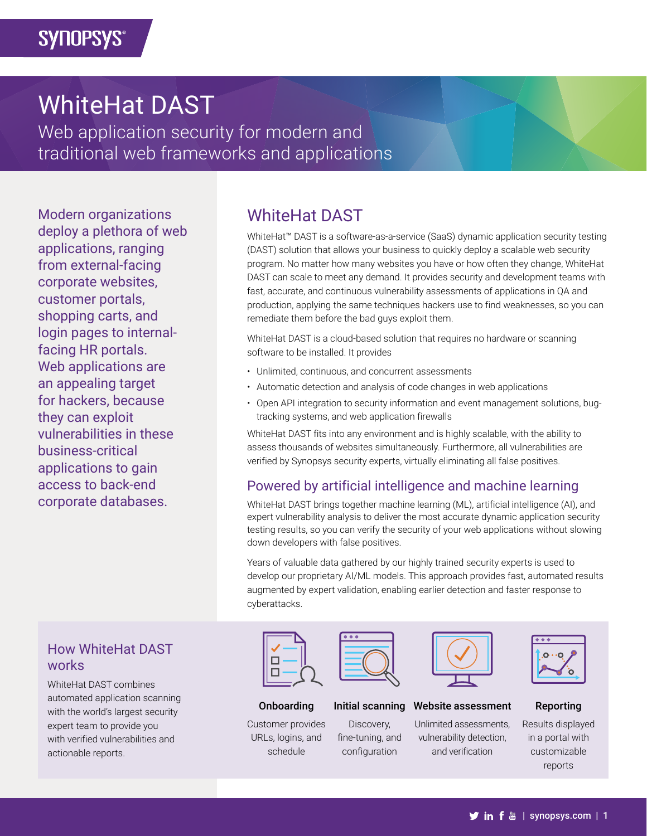# WhiteHat DAST

Web application security for modern and traditional web frameworks and applications

Modern organizations deploy a plethora of web applications, ranging from external-facing corporate websites, customer portals, shopping carts, and login pages to internalfacing HR portals. Web applications are an appealing target for hackers, because they can exploit vulnerabilities in these business-critical applications to gain access to back-end corporate databases.

# WhiteHat DAST

WhiteHat™ DAST is a software-as-a-service (SaaS) dynamic application security testing (DAST) solution that allows your business to quickly deploy a scalable web security program. No matter how many websites you have or how often they change, WhiteHat DAST can scale to meet any demand. It provides security and development teams with fast, accurate, and continuous vulnerability assessments of applications in QA and production, applying the same techniques hackers use to find weaknesses, so you can remediate them before the bad guys exploit them.

WhiteHat DAST is a cloud-based solution that requires no hardware or scanning software to be installed. It provides

- Unlimited, continuous, and concurrent assessments
- Automatic detection and analysis of code changes in web applications
- Open API integration to security information and event management solutions, bugtracking systems, and web application firewalls

WhiteHat DAST fits into any environment and is highly scalable, with the ability to assess thousands of websites simultaneously. Furthermore, all vulnerabilities are verified by Synopsys security experts, virtually eliminating all false positives.

## Powered by artificial intelligence and machine learning

WhiteHat DAST brings together machine learning (ML), artificial intelligence (AI), and expert vulnerability analysis to deliver the most accurate dynamic application security testing results, so you can verify the security of your web applications without slowing down developers with false positives.

Years of valuable data gathered by our highly trained security experts is used to develop our proprietary AI/ML models. This approach provides fast, automated results augmented by expert validation, enabling earlier detection and faster response to cyberattacks.



#### Onboarding

Customer provides URLs, logins, and schedule



#### Initial scanning

Discovery, fine-tuning, and configuration



#### Website assessment

Unlimited assessments, vulnerability detection, and verification



#### Reporting

Results displayed in a portal with customizable reports

### How WhiteHat DAST works

WhiteHat DAST combines automated application scanning with the world's largest security expert team to provide you with verified vulnerabilities and actionable reports.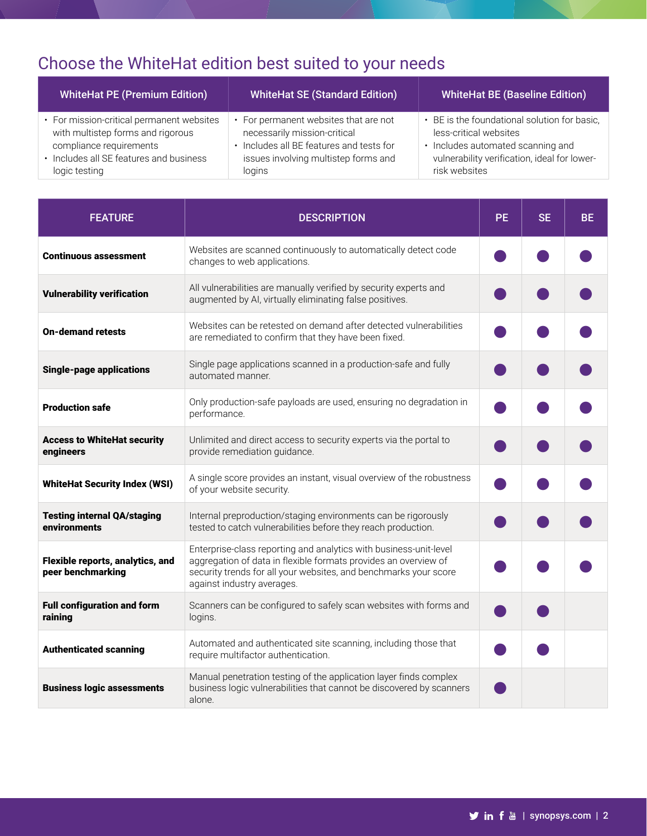# Choose the WhiteHat edition best suited to your needs

| <b>WhiteHat PE (Premium Edition)</b>      | <b>WhiteHat SE (Standard Edition)</b>    | <b>WhiteHat BE (Baseline Edition)</b>        |
|-------------------------------------------|------------------------------------------|----------------------------------------------|
| • For mission-critical permanent websites | For permanent websites that are not      | • BE is the foundational solution for basic, |
| with multistep forms and rigorous         | necessarily mission-critical             | less-critical websites                       |
| compliance requirements                   | • Includes all BE features and tests for | • Includes automated scanning and            |
| • Includes all SE features and business   | issues involving multistep forms and     | vulnerability verification, ideal for lower- |
| logic testing                             | logins                                   | risk websites                                |

| <b>FEATURE</b>                                        | <b>DESCRIPTION</b>                                                                                                                                                                                                                     | <b>PE</b> | <b>SE</b> | <b>BE</b> |
|-------------------------------------------------------|----------------------------------------------------------------------------------------------------------------------------------------------------------------------------------------------------------------------------------------|-----------|-----------|-----------|
| <b>Continuous assessment</b>                          | Websites are scanned continuously to automatically detect code<br>changes to web applications.                                                                                                                                         |           |           |           |
| <b>Vulnerability verification</b>                     | All vulnerabilities are manually verified by security experts and<br>augmented by AI, virtually eliminating false positives.                                                                                                           |           |           |           |
| <b>On-demand retests</b>                              | Websites can be retested on demand after detected vulnerabilities<br>are remediated to confirm that they have been fixed.                                                                                                              |           |           |           |
| <b>Single-page applications</b>                       | Single page applications scanned in a production-safe and fully<br>automated manner.                                                                                                                                                   |           |           |           |
| <b>Production safe</b>                                | Only production-safe payloads are used, ensuring no degradation in<br>performance.                                                                                                                                                     |           |           |           |
| <b>Access to WhiteHat security</b><br>engineers       | Unlimited and direct access to security experts via the portal to<br>provide remediation guidance.                                                                                                                                     |           |           |           |
| <b>WhiteHat Security Index (WSI)</b>                  | A single score provides an instant, visual overview of the robustness<br>of your website security.                                                                                                                                     |           |           |           |
| <b>Testing internal QA/staging</b><br>environments    | Internal preproduction/staging environments can be rigorously<br>tested to catch vulnerabilities before they reach production.                                                                                                         |           |           |           |
| Flexible reports, analytics, and<br>peer benchmarking | Enterprise-class reporting and analytics with business-unit-level<br>aggregation of data in flexible formats provides an overview of<br>security trends for all your websites, and benchmarks your score<br>against industry averages. |           |           |           |
| <b>Full configuration and form</b><br>raining         | Scanners can be configured to safely scan websites with forms and<br>logins.                                                                                                                                                           |           |           |           |
| <b>Authenticated scanning</b>                         | Automated and authenticated site scanning, including those that<br>require multifactor authentication.                                                                                                                                 |           |           |           |
| <b>Business logic assessments</b>                     | Manual penetration testing of the application layer finds complex<br>business logic vulnerabilities that cannot be discovered by scanners<br>alone.                                                                                    |           |           |           |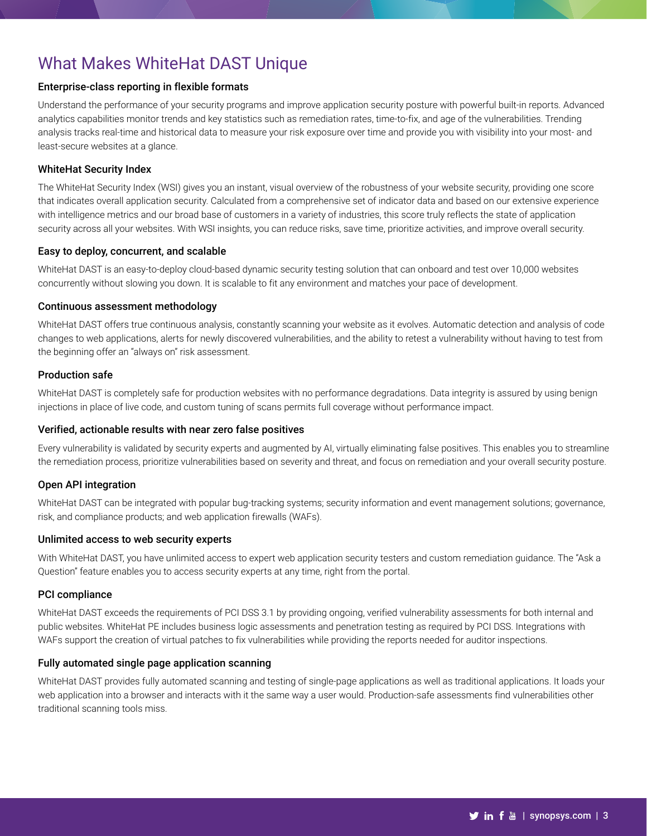## What Makes WhiteHat DAST Unique

#### Enterprise-class reporting in flexible formats

Understand the performance of your security programs and improve application security posture with powerful built-in reports. Advanced analytics capabilities monitor trends and key statistics such as remediation rates, time-to-fix, and age of the vulnerabilities. Trending analysis tracks real-time and historical data to measure your risk exposure over time and provide you with visibility into your most- and least-secure websites at a glance.

#### WhiteHat Security Index

The WhiteHat Security Index (WSI) gives you an instant, visual overview of the robustness of your website security, providing one score that indicates overall application security. Calculated from a comprehensive set of indicator data and based on our extensive experience with intelligence metrics and our broad base of customers in a variety of industries, this score truly reflects the state of application security across all your websites. With WSI insights, you can reduce risks, save time, prioritize activities, and improve overall security.

#### Easy to deploy, concurrent, and scalable

WhiteHat DAST is an easy-to-deploy cloud-based dynamic security testing solution that can onboard and test over 10,000 websites concurrently without slowing you down. It is scalable to fit any environment and matches your pace of development.

#### Continuous assessment methodology

WhiteHat DAST offers true continuous analysis, constantly scanning your website as it evolves. Automatic detection and analysis of code changes to web applications, alerts for newly discovered vulnerabilities, and the ability to retest a vulnerability without having to test from the beginning offer an "always on" risk assessment.

#### Production safe

WhiteHat DAST is completely safe for production websites with no performance degradations. Data integrity is assured by using benign injections in place of live code, and custom tuning of scans permits full coverage without performance impact.

#### Verified, actionable results with near zero false positives

Every vulnerability is validated by security experts and augmented by AI, virtually eliminating false positives. This enables you to streamline the remediation process, prioritize vulnerabilities based on severity and threat, and focus on remediation and your overall security posture.

#### Open API integration

WhiteHat DAST can be integrated with popular bug-tracking systems; security information and event management solutions; governance, risk, and compliance products; and web application firewalls (WAFs).

#### Unlimited access to web security experts

With WhiteHat DAST, you have unlimited access to expert web application security testers and custom remediation guidance. The "Ask a Question" feature enables you to access security experts at any time, right from the portal.

#### PCI compliance

WhiteHat DAST exceeds the requirements of PCI DSS 3.1 by providing ongoing, verified vulnerability assessments for both internal and public websites. WhiteHat PE includes business logic assessments and penetration testing as required by PCI DSS. Integrations with WAFs support the creation of virtual patches to fix vulnerabilities while providing the reports needed for auditor inspections.

#### Fully automated single page application scanning

WhiteHat DAST provides fully automated scanning and testing of single-page applications as well as traditional applications. It loads your web application into a browser and interacts with it the same way a user would. Production-safe assessments find vulnerabilities other traditional scanning tools miss.